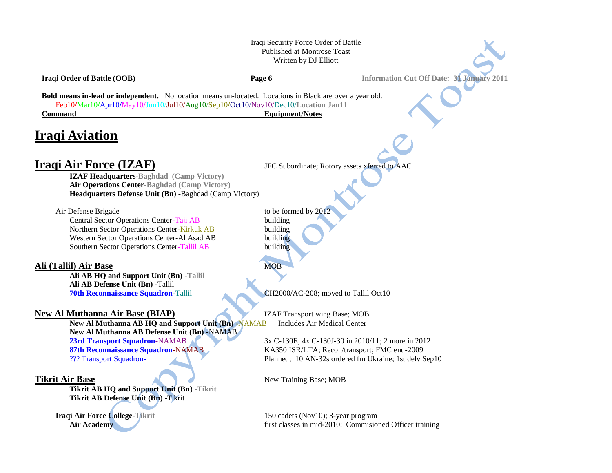## Iraqi Security Force Order of Battle Published at Montrose Toast Written by DJ Elliott

# **Iraqi Order of Battle (OOB) Page 6 Information Cut Off Date: 31 January 2011 Bold means in-lead or independent.** No location means un-located. Locations in Black are over a year old. Feb10**/**Mar10**/**Apr10**/**May10**/**Jun10/Jul10/Aug10/Sep10**/**Oct10/Nov10/Dec10**/Location Jan11 Command** Equipment/Notes **Iraqi Aviation Iraqi Air Force (IZAF)** JFC Subordinate; Rotory assets xferred to AAC **IZAF Headquarters-Baghdad (Camp Victory) Air Operations Center-Baghdad (Camp Victory) Headquarters Defense Unit (Bn)** -Baghdad (Camp Victory) Air Defense Brigade to be formed by 201 Central Sector Operations Center-Taji AB building Northern Sector Operations Center-Kirkuk AB building Western Sector Operations Center-Al Asad AB building Southern Sector Operations Center-Tallil AB building **Ali (Tallil) Air Base** MOB **Ali AB HQ and Support Unit (Bn) -Tallil Ali AB Defense Unit (Bn)** -Tallil **70th Reconnaissance Squadron-Tallil CH2000/AC-208; moved to Tallil Oct10 New Al Muthanna Air Base (BIAP)** IZAF Transport wing Base; MOB **New Al Muthanna AB HQ and Support Unit (Bn)** -NAMAB Includes Air Medical Center **New Al Muthanna AB Defense Unit (Bn)** -NAMAB **23rd Transport Squadron**-NAMAB 3x C-130E; 4x C-130J-30 in 2010/11; 2 more in 2012 **87th Reconnaissance Squadron**-NAMAB KA350 ISR/LTA; Recon/transport; FMC end-2009 ??? Transport Squadron- Planned; 10 AN-32s ordered fm Ukraine; 1st delv Sep10

**Tikrit Air Base** New Training Base; MOB

**Tikrit AB HQ and Support Unit (Bn**) **-Tikrit**

**Tikrit AB Defense Unit (Bn)** -Tikrit

**Iraqi Air Force College-T**ikrit 150 cadets (Nov10); 3-year program **Air Academy** *Air Academy Air Academy Air Academy Physics Air Academy Air Academy Physics* **<b>***Air Academy Physics Physics Physics* **<b>***Physics Physics Physics Physics* **<b>***Physi*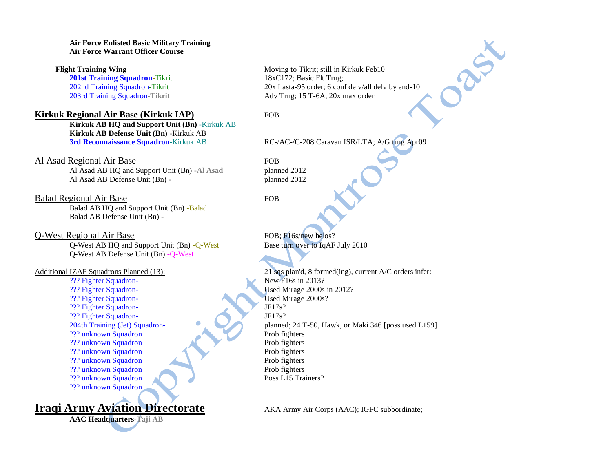### **Air Force Enlisted Basic Military Training Air Force Warrant Officer Course**

## **Kirkuk Regional Air Base (Kirkuk IAP)** FOB

**Kirkuk AB HQ and Support Unit (Bn)** -Kirkuk AB **Kirkuk AB Defense Unit (Bn)** -Kirkuk AB **3rd Reconnaissance Squadron**-Kirkuk AB RC-/AC-/C-208 Caravan ISR/LTA; A/G trng Apr09

Al Asad Regional Air Base FOB Al Asad AB HQ and Support Unit (Bn) **-Al Asad** planned 2012 Al Asad AB Defense Unit (Bn) - planned 2012

Balad Regional Air Base FOB Balad AB HQ and Support Unit (Bn) -Balad Balad AB Defense Unit (Bn) -

Q-West Regional Air Base FOB; F16s/new helos? Q-West AB HQ and Support Unit (Bn) -Q-West Base turn over to IqAF July 2010 Q-West AB Defense Unit (Bn) -Q-West

??? Fighter Squadron-<br>
New F16s in 2013? ??? Fighter Squadron- Used Mirage 2000s in 2012? ??? Fighter Squadron- Used Mirage 2000s? ??? Fighter Squadron- JF17s? ??? Fighter Squadron-<br>204th Training (Jet) Squadron-<br>planned ??? unknown Squadron Prob fighters ??? unknown Squadron Prob fighters ??? unknown Squadron Prob fighters ??? unknown Squadron Prob fighters ??? unknown Squadron Prob fighters ??? unknown Squadron Poss L15 Trainers? ??? unknown Squadron

**Iraqi Army Aviation Directorate** AKA Army Air Corps (AAC); IGFC subbordinate;

**AAC Headquarters-Taji AB** 

**Flight Training Wing** Moving to Tikrit; still in Kirkuk Feb10 **201st Training Squadron**-Tikrit 18xC172; Basic Flt Trng; 202nd Training Squadron-Tikrit 20x Lasta-95 order; 6 conf delv/all delv by end-10 203rd Training Squadron**-Tikrit** Adv Trng; 15 T-6A; 20x max order

25%

Additional IZAF Squadrons Planned (13): 21 sqs plan'd, 8 formed(ing), current A/C orders infer: planned; 24 T-50, Hawk, or Maki 346 [poss used L159]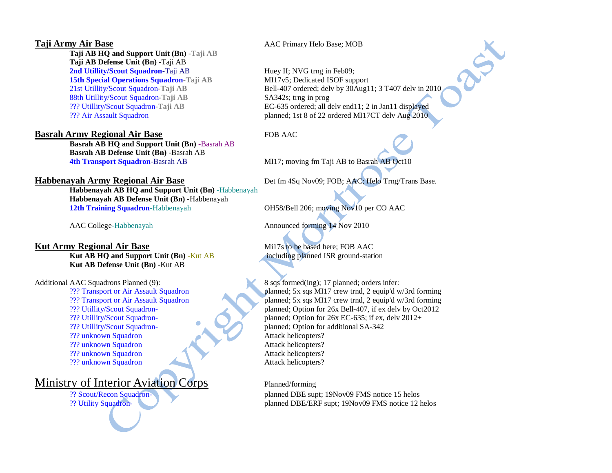**Taji AB HQ and Support Unit (Bn) -Taji AB Taji AB Defense Unit (Bn)** -Taji AB **2nd Utility/Scout Squadron**-Taji AB Huey II; NVG trng in Feb09; **15th Special Operations Squadron-Taji AB** MI17v5; Dedicated ISOF support 88th Utillity/Scout Squadron**-Taji AB** SA342s; trng in prog

## **Basrah Army Regional Air Base** FOB AAC

**Basrah AB HQ and Support Unit (Bn)** -Basrah AB **Basrah AB Defense Unit (Bn)** -Basrah AB **4th Transport Squadron**-Basrah AB MI17; moving fm Taji AB to Basrah AB Oct10

**Habbenayah AB HQ and Support Unit (Bn)** -Habbenayah **Habbenayah AB Defense Unit (Bn)** -Habbenayah **12th Training Squadron**-Habbenayah OH58/Bell 206; moving Nov10 per CO AAC

## **Kut Army Regional Air Base** Mil<sup>7s</sup> to be based here; FOB AAC

**Kut AB HQ and Support Unit (Bn)** -Kut AB including planned ISR ground-station **Kut AB Defense Unit (Bn)** -Kut AB

??? unknown Squadron Attack helicopters? ??? unknown Squadron Attack helicopters? ??? unknown Squadron Attack helicopters? ??? unknown Squadron Attack helicopters?

## Ministry of Interior Aviation Corps Planned/forming

## **Taji Army Air Base** AAC Primary Helo Base; MOB

21st Utillity/Scout Squadron**-Taji AB** Bell-407 ordered; delv by 30Aug11; 3 T407 delv in 2010 ??? Utillity/Scout Squadron**-Taji AB** EC-635 ordered; all delv end11; 2 in Jan11 displayed ??? Air Assault Squadron planned; 1st 8 of 22 ordered MI17CT delv Aug 2010

REA

**Habbenayah Army Regional Air Base** Det fm 4Sq Nov09; FOB; AAC; Helo Trng/Trans Base.

AAC College-Habbenayah **Announced forming 14 Nov 2010** 

Additional AAC Squadrons Planned (9): 8 sqs formed(ing); 17 planned; orders infer: ??? Transport or Air Assault Squadron planned; 5x sqs MI17 crew trnd, 2 equip'd w/3rd forming ??? Transport or Air Assault Squadron planned; 5x sqs MI17 crew trnd, 2 equip'd w/3rd forming ??? Utillity/Scout Squadron- planned; Option for 26x Bell-407, if ex delv by Oct2012 ??? Utillity/Scout Squadron- planned; Option for 26x EC-635; if ex, delv 2012+ ??? Utillity/Scout Squadron- planned; Option for additional SA-342

?? Scout/Recon Squadron- planned DBE supt; 19Nov09 FMS notice 15 helos ?? Utility Squadron- planned DBE/ERF supt; 19Nov09 FMS notice 12 helos